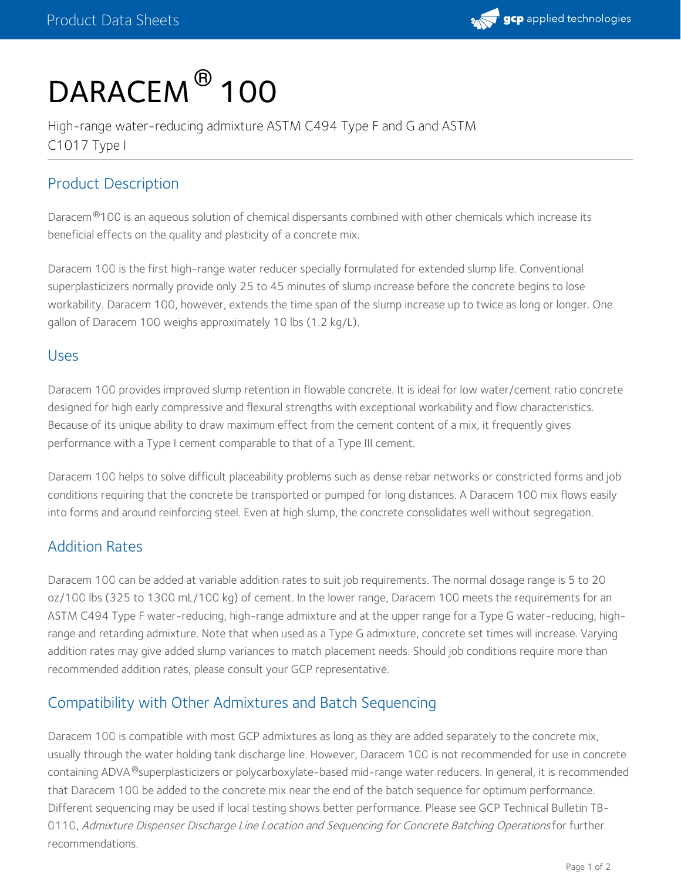

# DARACEM<sup>®</sup> 100

High-range water-reducing admixture ASTM C494 Type F and G and ASTM C1017 Type I

## Product Description

Daracem<sup>®</sup>100 is an aqueous solution of chemical dispersants combined with other chemicals which increase its beneficial effects on the quality and plasticity of a concrete mix.

Daracem 100 is the first high-range water reducer specially formulated for extended slump life. Conventional superplasticizers normally provide only 25 to 45 minutes of slump increase before the concrete begins to lose workability. Daracem 100, however, extends the time span of the slump increase up to twice as long or longer. One gallon of Daracem 100 weighs approximately 10 lbs (1.2 kg/L).

#### Uses

Daracem 100 provides improved slump retention in flowable concrete. It is ideal for low water/cement ratio concrete designed for high early compressive and flexural strengths with exceptional workability and flow characteristics. Because of its unique ability to draw maximum effect from the cement content of a mix, it frequently gives performance with a Type I cement comparable to that of a Type III cement.

Daracem 100 helps to solve difficult placeability problems such as dense rebar networks or constricted forms and job conditions requiring that the concrete be transported or pumped for long distances. A Daracem 100 mix flows easily into forms and around reinforcing steel. Even at high slump, the concrete consolidates well without segregation.

#### Addition Rates

Daracem 100 can be added at variable addition rates to suit job requirements. The normal dosage range is 5 to 20 oz/100 lbs (325 to 1300 mL/100 kg) of cement. In the lower range, Daracem 100 meets the requirements for an ASTM C494 Type F water-reducing, high-range admixture and at the upper range for a Type G water-reducing, highrange and retarding admixture. Note that when used as a Type G admixture, concrete set times will increase. Varying addition rates may give added slump variances to match placement needs. Should job conditions require more than recommended addition rates, please consult your GCP representative.

#### Compatibility with Other Admixtures and Batch Sequencing

Daracem 100 is compatible with most GCP admixtures as long as they are added separately to the concrete mix, usually through the water holding tank discharge line. However, Daracem 100 is not recommended for use in concrete containing ADVA®superplasticizers or polycarboxylate-based mid-range water reducers. In general, it is recommended that Daracem 100 be added to the concrete mix near the end of the batch sequence for optimum performance. Different sequencing may be used if local testing shows better performance. Please see GCP Technical Bulletin TB- 0110, Admixture Dispenser Discharge Line Location and Sequencing for Concrete Batching Operations for further recommendations.